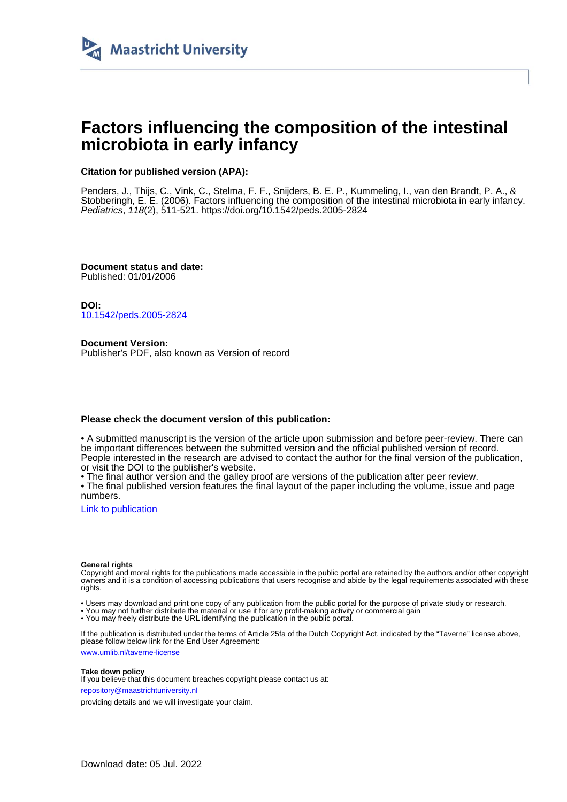

# **Factors influencing the composition of the intestinal microbiota in early infancy**

## **Citation for published version (APA):**

Penders, J., Thijs, C., Vink, C., Stelma, F. F., Snijders, B. E. P., Kummeling, I., van den Brandt, P. A., & Stobberingh, E. E. (2006). Factors influencing the composition of the intestinal microbiota in early infancy. Pediatrics, 118(2), 511-521.<https://doi.org/10.1542/peds.2005-2824>

**Document status and date:** Published: 01/01/2006

**DOI:** [10.1542/peds.2005-2824](https://doi.org/10.1542/peds.2005-2824)

**Document Version:** Publisher's PDF, also known as Version of record

## **Please check the document version of this publication:**

• A submitted manuscript is the version of the article upon submission and before peer-review. There can be important differences between the submitted version and the official published version of record. People interested in the research are advised to contact the author for the final version of the publication, or visit the DOI to the publisher's website.

• The final author version and the galley proof are versions of the publication after peer review.

• The final published version features the final layout of the paper including the volume, issue and page numbers.

[Link to publication](https://cris.maastrichtuniversity.nl/en/publications/f5fd40aa-2216-4f67-ada9-26a700bff501)

#### **General rights**

Copyright and moral rights for the publications made accessible in the public portal are retained by the authors and/or other copyright owners and it is a condition of accessing publications that users recognise and abide by the legal requirements associated with these rights.

• Users may download and print one copy of any publication from the public portal for the purpose of private study or research.

• You may not further distribute the material or use it for any profit-making activity or commercial gain

• You may freely distribute the URL identifying the publication in the public portal.

If the publication is distributed under the terms of Article 25fa of the Dutch Copyright Act, indicated by the "Taverne" license above, please follow below link for the End User Agreement:

www.umlib.nl/taverne-license

#### **Take down policy**

If you believe that this document breaches copyright please contact us at: repository@maastrichtuniversity.nl

providing details and we will investigate your claim.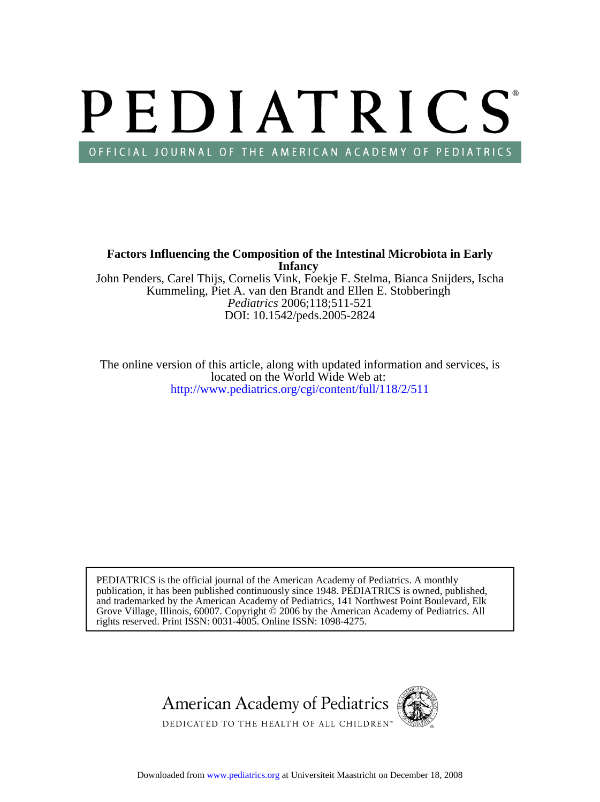# PEDIATRICS OFFICIAL JOURNAL OF THE AMERICAN ACADEMY OF PEDIATRICS

DOI: 10.1542/peds.2005-2824 *Pediatrics* 2006;118;511-521 Kummeling, Piet A. van den Brandt and Ellen E. Stobberingh John Penders, Carel Thijs, Cornelis Vink, Foekje F. Stelma, Bianca Snijders, Ischa **Infancy Factors Influencing the Composition of the Intestinal Microbiota in Early**

<http://www.pediatrics.org/cgi/content/full/118/2/511> located on the World Wide Web at: The online version of this article, along with updated information and services, is

rights reserved. Print ISSN: 0031-4005. Online ISSN: 1098-4275. Grove Village, Illinois, 60007. Copyright  $\ddot{\odot}$  2006 by the American Academy of Pediatrics. All and trademarked by the American Academy of Pediatrics, 141 Northwest Point Boulevard, Elk publication, it has been published continuously since 1948. PEDIATRICS is owned, published, PEDIATRICS is the official journal of the American Academy of Pediatrics. A monthly



Downloaded from [www.pediatrics.org](http://pediatrics.aappublications.org) at Universiteit Maastricht on December 18, 2008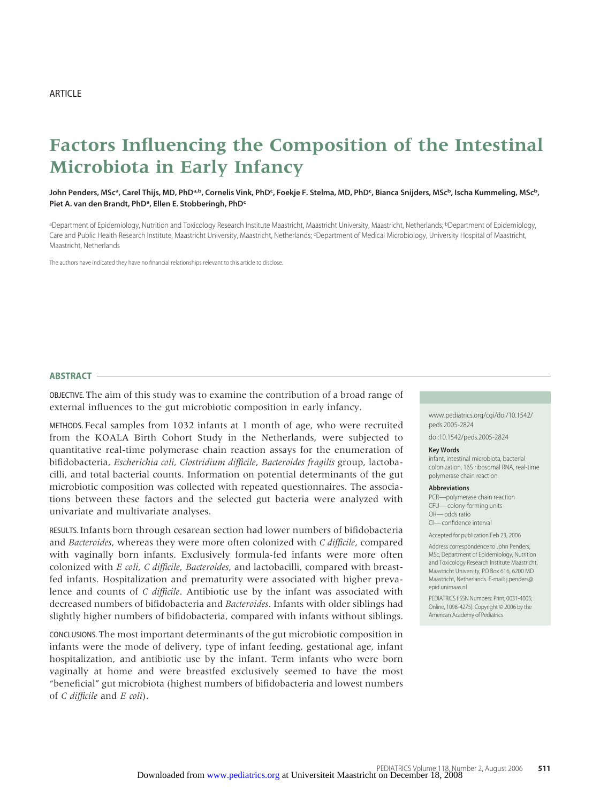# **Factors Influencing the Composition of the Intestinal Microbiota in Early Infancy**

John Penders, MScª, Carel Thijs, MD, PhDª<sup>,b</sup>, Cornelis Vink, PhD<sup>c</sup>, Foekje F. Stelma, MD, PhD<sup>c</sup>, Bianca Snijders, MSc<sup>b</sup>, Ischa Kummeling, MSc<sup>b</sup>, Piet A. van den Brandt, PhD<sup>a</sup>, Ellen E. Stobberingh, PhD<sup>c</sup>

<sup>a</sup>Department of Epidemiology, Nutrition and Toxicology Research Institute Maastricht, Maastricht University, Maastricht, Netherlands; <sup>b</sup>Department of Epidemiology, Care and Public Health Research Institute, Maastricht University, Maastricht, Netherlands; <sup>c</sup>Department of Medical Microbiology, University Hospital of Maastricht, Maastricht, Netherlands

The authors have indicated they have no financial relationships relevant to this article to disclose.

#### **ABSTRACT**

OBJECTIVE. The aim of this study was to examine the contribution of a broad range of external influences to the gut microbiotic composition in early infancy.

METHODS. Fecal samples from 1032 infants at 1 month of age, who were recruited from the KOALA Birth Cohort Study in the Netherlands, were subjected to quantitative real-time polymerase chain reaction assays for the enumeration of bifidobacteria, *Escherichia coli*, *Clostridium difficile*, *Bacteroides fragilis* group, lactobacilli, and total bacterial counts. Information on potential determinants of the gut microbiotic composition was collected with repeated questionnaires. The associations between these factors and the selected gut bacteria were analyzed with univariate and multivariate analyses.

RESULTS. Infants born through cesarean section had lower numbers of bifidobacteria and *Bacteroides*, whereas they were more often colonized with *C difficile*, compared with vaginally born infants. Exclusively formula-fed infants were more often colonized with *E coli*, *C difficile*, *Bacteroides*, and lactobacilli, compared with breastfed infants. Hospitalization and prematurity were associated with higher prevalence and counts of *C difficile*. Antibiotic use by the infant was associated with decreased numbers of bifidobacteria and *Bacteroides*. Infants with older siblings had slightly higher numbers of bifidobacteria, compared with infants without siblings.

CONCLUSIONS. The most important determinants of the gut microbiotic composition in infants were the mode of delivery, type of infant feeding, gestational age, infant hospitalization, and antibiotic use by the infant. Term infants who were born vaginally at home and were breastfed exclusively seemed to have the most "beneficial" gut microbiota (highest numbers of bifidobacteria and lowest numbers of *C difficile* and *E coli*).

www.pediatrics.org/cgi/doi/10.1542/ peds.2005-2824

doi:10.1542/peds.2005-2824

#### **Key Words**

infant, intestinal microbiota, bacterial colonization, 16S ribosomal RNA, real-time polymerase chain reaction

#### **Abbreviations**

PCR—polymerase chain reaction CFU— colony-forming units OR— odds ratio CI— confidence interval

Accepted for publication Feb 23, 2006

Address correspondence to John Penders, MSc, Department of Epidemiology, Nutrition and Toxicology Research Institute Maastricht, Maastricht University, PO Box 616, 6200 MD Maastricht, Netherlands. E-mail: j.penders@ epid.unimaas.nl

PEDIATRICS (ISSN Numbers: Print, 0031-4005; Online, 1098-4275). Copyright © 2006 by the American Academy of Pediatrics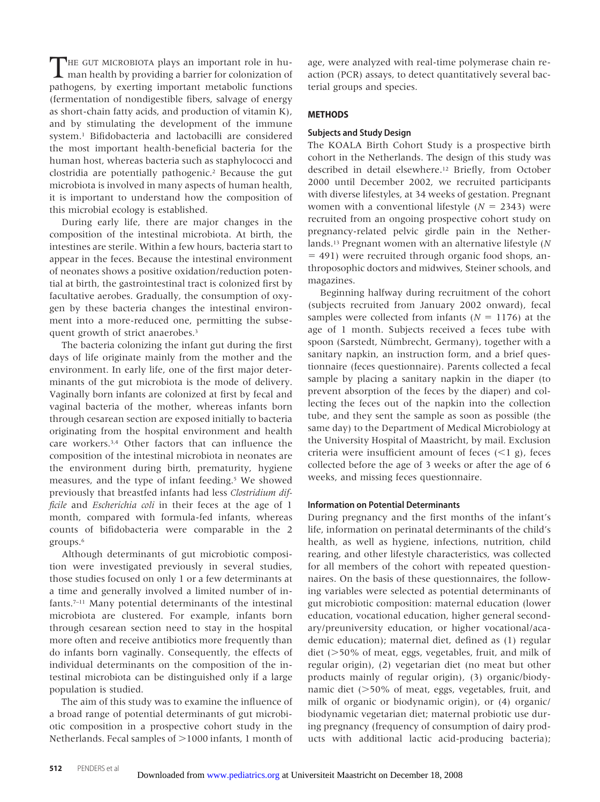THE GUT MICROBIOTA plays an important role in hu- $\mathsf{\mathsf{L}}$  man health by providing a barrier for colonization of pathogens, by exerting important metabolic functions (fermentation of nondigestible fibers, salvage of energy as short-chain fatty acids, and production of vitamin K), and by stimulating the development of the immune system.1 Bifidobacteria and lactobacilli are considered the most important health-beneficial bacteria for the human host, whereas bacteria such as staphylococci and clostridia are potentially pathogenic.2 Because the gut microbiota is involved in many aspects of human health, it is important to understand how the composition of this microbial ecology is established.

During early life, there are major changes in the composition of the intestinal microbiota. At birth, the intestines are sterile. Within a few hours, bacteria start to appear in the feces. Because the intestinal environment of neonates shows a positive oxidation/reduction potential at birth, the gastrointestinal tract is colonized first by facultative aerobes. Gradually, the consumption of oxygen by these bacteria changes the intestinal environment into a more-reduced one, permitting the subsequent growth of strict anaerobes.<sup>3</sup>

The bacteria colonizing the infant gut during the first days of life originate mainly from the mother and the environment. In early life, one of the first major determinants of the gut microbiota is the mode of delivery. Vaginally born infants are colonized at first by fecal and vaginal bacteria of the mother, whereas infants born through cesarean section are exposed initially to bacteria originating from the hospital environment and health care workers.3,4 Other factors that can influence the composition of the intestinal microbiota in neonates are the environment during birth, prematurity, hygiene measures, and the type of infant feeding.<sup>5</sup> We showed previously that breastfed infants had less *Clostridium difficile* and *Escherichia coli* in their feces at the age of 1 month, compared with formula-fed infants, whereas counts of bifidobacteria were comparable in the 2 groups.6

Although determinants of gut microbiotic composition were investigated previously in several studies, those studies focused on only 1 or a few determinants at a time and generally involved a limited number of infants.7–11 Many potential determinants of the intestinal microbiota are clustered. For example, infants born through cesarean section need to stay in the hospital more often and receive antibiotics more frequently than do infants born vaginally. Consequently, the effects of individual determinants on the composition of the intestinal microbiota can be distinguished only if a large population is studied.

The aim of this study was to examine the influence of a broad range of potential determinants of gut microbiotic composition in a prospective cohort study in the Netherlands. Fecal samples of  $>$  1000 infants, 1 month of age, were analyzed with real-time polymerase chain reaction (PCR) assays, to detect quantitatively several bacterial groups and species.

## **METHODS**

#### **Subjects and Study Design**

The KOALA Birth Cohort Study is a prospective birth cohort in the Netherlands. The design of this study was described in detail elsewhere.<sup>12</sup> Briefly, from October 2000 until December 2002, we recruited participants with diverse lifestyles, at 34 weeks of gestation. Pregnant women with a conventional lifestyle  $(N = 2343)$  were recruited from an ongoing prospective cohort study on pregnancy-related pelvic girdle pain in the Netherlands.13 Pregnant women with an alternative lifestyle (*N*  $=$  491) were recruited through organic food shops, anthroposophic doctors and midwives, Steiner schools, and magazines.

Beginning halfway during recruitment of the cohort (subjects recruited from January 2002 onward), fecal samples were collected from infants ( $N = 1176$ ) at the age of 1 month. Subjects received a feces tube with spoon (Sarstedt, Nümbrecht, Germany), together with a sanitary napkin, an instruction form, and a brief questionnaire (feces questionnaire). Parents collected a fecal sample by placing a sanitary napkin in the diaper (to prevent absorption of the feces by the diaper) and collecting the feces out of the napkin into the collection tube, and they sent the sample as soon as possible (the same day) to the Department of Medical Microbiology at the University Hospital of Maastricht, by mail. Exclusion criteria were insufficient amount of feces  $(<1 g)$ , feces collected before the age of 3 weeks or after the age of 6 weeks, and missing feces questionnaire.

#### **Information on Potential Determinants**

During pregnancy and the first months of the infant's life, information on perinatal determinants of the child's health, as well as hygiene, infections, nutrition, child rearing, and other lifestyle characteristics, was collected for all members of the cohort with repeated questionnaires. On the basis of these questionnaires, the following variables were selected as potential determinants of gut microbiotic composition: maternal education (lower education, vocational education, higher general secondary/preuniversity education, or higher vocational/academic education); maternal diet, defined as (1) regular diet (50% of meat, eggs, vegetables, fruit, and milk of regular origin), (2) vegetarian diet (no meat but other products mainly of regular origin), (3) organic/biodynamic diet (>50% of meat, eggs, vegetables, fruit, and milk of organic or biodynamic origin), or (4) organic/ biodynamic vegetarian diet; maternal probiotic use during pregnancy (frequency of consumption of dairy products with additional lactic acid-producing bacteria);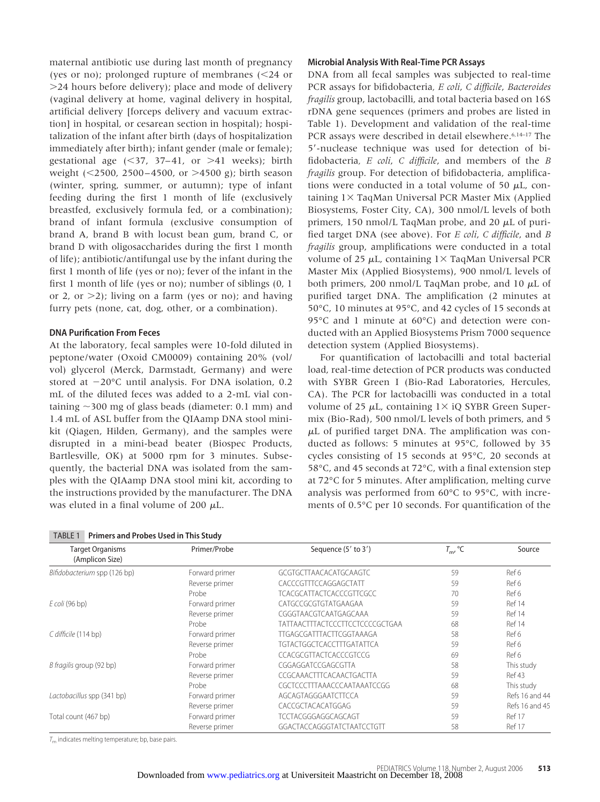maternal antibiotic use during last month of pregnancy (yes or no); prolonged rupture of membranes  $\approx$  24 or 24 hours before delivery); place and mode of delivery (vaginal delivery at home, vaginal delivery in hospital, artificial delivery [forceps delivery and vacuum extraction] in hospital, or cesarean section in hospital); hospitalization of the infant after birth (days of hospitalization immediately after birth); infant gender (male or female); gestational age  $( $37, 37-41, 0r > 41$  weeks); birth$ weight ( $\leq$ 2500, 2500–4500, or  $>$ 4500 g); birth season (winter, spring, summer, or autumn); type of infant feeding during the first 1 month of life (exclusively breastfed, exclusively formula fed, or a combination); brand of infant formula (exclusive consumption of brand A, brand B with locust bean gum, brand C, or brand D with oligosaccharides during the first 1 month of life); antibiotic/antifungal use by the infant during the first 1 month of life (yes or no); fever of the infant in the first 1 month of life (yes or no); number of siblings (0, 1 or 2, or  $>$ 2); living on a farm (yes or no); and having furry pets (none, cat, dog, other, or a combination).

## **DNA Purification From Feces**

At the laboratory, fecal samples were 10-fold diluted in peptone/water (Oxoid CM0009) containing 20% (vol/ vol) glycerol (Merck, Darmstadt, Germany) and were stored at  $-20^{\circ}$ C until analysis. For DNA isolation, 0.2 mL of the diluted feces was added to a 2-mL vial containing  $\sim$ 300 mg of glass beads (diameter: 0.1 mm) and 1.4 mL of ASL buffer from the QIAamp DNA stool minikit (Qiagen, Hilden, Germany), and the samples were disrupted in a mini-bead beater (Biospec Products, Bartlesville, OK) at 5000 rpm for 3 minutes. Subsequently, the bacterial DNA was isolated from the samples with the QIAamp DNA stool mini kit, according to the instructions provided by the manufacturer. The DNA was eluted in a final volume of 200  $\mu$ L.

|  | <b>TABLE 1</b> Primers and Probes Used in This Study |
|--|------------------------------------------------------|
|--|------------------------------------------------------|

#### **Microbial Analysis With Real-Time PCR Assays**

DNA from all fecal samples was subjected to real-time PCR assays for bifidobacteria*, E coli*, *C difficile*, *Bacteroides fragilis* group, lactobacilli, and total bacteria based on 16S rDNA gene sequences (primers and probes are listed in Table 1). Development and validation of the real-time PCR assays were described in detail elsewhere.<sup>6,14–17</sup> The 5-nuclease technique was used for detection of bifidobacteria*, E coli*, *C difficile*, and members of the *B fragilis* group. For detection of bifidobacteria, amplifications were conducted in a total volume of 50  $\mu$ L, containing  $1 \times$  TaqMan Universal PCR Master Mix (Applied Biosystems, Foster City, CA), 300 nmol/L levels of both primers, 150 nmol/L TaqMan probe, and 20  $\mu$ L of purified target DNA (see above). For *E coli*, *C difficile*, and *B fragilis* group, amplifications were conducted in a total volume of 25  $\mu$ L, containing  $1 \times$  TaqMan Universal PCR Master Mix (Applied Biosystems), 900 nmol/L levels of both primers, 200 nmol/L TaqMan probe, and 10  $\mu$ L of purified target DNA. The amplification (2 minutes at 50°C, 10 minutes at 95°C, and 42 cycles of 15 seconds at 95°C and 1 minute at 60°C) and detection were conducted with an Applied Biosystems Prism 7000 sequence detection system (Applied Biosystems).

For quantification of lactobacilli and total bacterial load, real-time detection of PCR products was conducted with SYBR Green I (Bio-Rad Laboratories, Hercules, CA). The PCR for lactobacilli was conducted in a total volume of 25  $\mu$ L, containing  $1 \times$  iQ SYBR Green Supermix (Bio-Rad), 500 nmol/L levels of both primers, and 5  $\mu$ L of purified target DNA. The amplification was conducted as follows: 5 minutes at 95°C, followed by 35 cycles consisting of 15 seconds at 95°C, 20 seconds at 58°C, and 45 seconds at 72°C, with a final extension step at 72°C for 5 minutes. After amplification, melting curve analysis was performed from 60°C to 95°C, with increments of 0.5°C per 10 seconds. For quantification of the

| <b>Target Organisms</b><br>(Amplicon Size) | Primer/Probe   | Sequence (5' to 3')              | $T_{\rm mv}$ °C | Source         |
|--------------------------------------------|----------------|----------------------------------|-----------------|----------------|
| Bifidobacterium spp (126 bp)               | Forward primer | GCGTGCTTAACACATGCAAGTC           | 59              | Ref 6          |
|                                            | Reverse primer | CACCCGTTTCCAGGAGCTATT            | 59              | Ref 6          |
|                                            | Probe          | <b>TCACGCATTACTCACCCGTTCGCC</b>  | 70              | Ref 6          |
| $E$ coli (96 bp)                           | Forward primer | CATGCCGCGTGTATGAAGAA             | 59              | Ref 14         |
|                                            | Reverse primer | CGGGTAACGTCAATGAGCAAA            | 59              | Ref 14         |
|                                            | Probe          | TATTAACTTTACTCCCTTCCTCCCCGCTGAA  | 68              | Ref 14         |
| C difficile (114 bp)                       | Forward primer | <b>TTGAGCGATTTACTTCGGTAAAGA</b>  | 58              | Ref 6          |
|                                            | Reverse primer | <b>TGTACTGGCTCACCTTTGATATTCA</b> | 59              | Ref 6          |
|                                            | Probe          | CCACGCGTTACTCACCCGTCCG           | 69              | Ref 6          |
| B fragilis group (92 bp)                   | Forward primer | CGGAGGATCCGAGCGTTA               | 58              | This study     |
|                                            | Reverse primer | CCGCAAACTTTCACAACTGACTTA         | 59              | Ref 43         |
|                                            | Probe          | CGCTCCCTTTAAACCCAATAAATCCGG      | 68              | This study     |
| Lactobacillus spp (341 bp)                 | Forward primer | AGCAGTAGGGAATCTTCCA              | 59              | Refs 16 and 44 |
|                                            | Reverse primer | CACCGCTACACATGGAG                | 59              | Refs 16 and 45 |
| Total count (467 bp)                       | Forward primer | TCCTACGGGAGGCAGCAGT              | 59              | <b>Ref 17</b>  |
|                                            | Reverse primer | GGACTACCAGGGTATCTAATCCTGTT       | 58              | Ref 17         |

 $T<sub>m</sub>$  indicates melting temperature; bp, base pairs.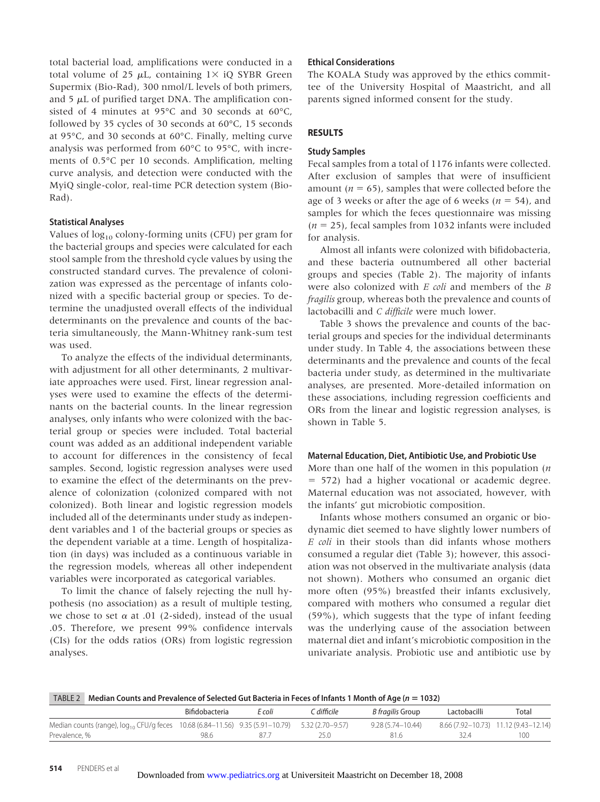total bacterial load, amplifications were conducted in a total volume of 25  $\mu$ L, containing 1× iQ SYBR Green Supermix (Bio-Rad), 300 nmol/L levels of both primers, and 5  $\mu$ L of purified target DNA. The amplification consisted of 4 minutes at 95°C and 30 seconds at 60°C, followed by 35 cycles of 30 seconds at 60°C, 15 seconds at 95°C, and 30 seconds at 60°C. Finally, melting curve analysis was performed from 60°C to 95°C, with increments of 0.5°C per 10 seconds. Amplification, melting curve analysis, and detection were conducted with the MyiQ single-color, real-time PCR detection system (Bio-Rad).

## **Statistical Analyses**

Values of  $log_{10}$  colony-forming units (CFU) per gram for the bacterial groups and species were calculated for each stool sample from the threshold cycle values by using the constructed standard curves. The prevalence of colonization was expressed as the percentage of infants colonized with a specific bacterial group or species. To determine the unadjusted overall effects of the individual determinants on the prevalence and counts of the bacteria simultaneously, the Mann-Whitney rank-sum test was used.

To analyze the effects of the individual determinants, with adjustment for all other determinants, 2 multivariate approaches were used. First, linear regression analyses were used to examine the effects of the determinants on the bacterial counts. In the linear regression analyses, only infants who were colonized with the bacterial group or species were included. Total bacterial count was added as an additional independent variable to account for differences in the consistency of fecal samples. Second, logistic regression analyses were used to examine the effect of the determinants on the prevalence of colonization (colonized compared with not colonized). Both linear and logistic regression models included all of the determinants under study as independent variables and 1 of the bacterial groups or species as the dependent variable at a time. Length of hospitalization (in days) was included as a continuous variable in the regression models, whereas all other independent variables were incorporated as categorical variables.

To limit the chance of falsely rejecting the null hypothesis (no association) as a result of multiple testing, we chose to set  $\alpha$  at .01 (2-sided), instead of the usual .05. Therefore, we present 99% confidence intervals (CIs) for the odds ratios (ORs) from logistic regression analyses.

#### **Ethical Considerations**

The KOALA Study was approved by the ethics committee of the University Hospital of Maastricht, and all parents signed informed consent for the study.

### **RESULTS**

#### **Study Samples**

Fecal samples from a total of 1176 infants were collected. After exclusion of samples that were of insufficient amount ( $n = 65$ ), samples that were collected before the age of 3 weeks or after the age of 6 weeks ( $n = 54$ ), and samples for which the feces questionnaire was missing  $(n = 25)$ , fecal samples from 1032 infants were included for analysis.

Almost all infants were colonized with bifidobacteria, and these bacteria outnumbered all other bacterial groups and species (Table 2). The majority of infants were also colonized with *E coli* and members of the *B fragilis* group, whereas both the prevalence and counts of lactobacilli and *C difficile* were much lower.

Table 3 shows the prevalence and counts of the bacterial groups and species for the individual determinants under study. In Table 4, the associations between these determinants and the prevalence and counts of the fecal bacteria under study, as determined in the multivariate analyses, are presented. More-detailed information on these associations, including regression coefficients and ORs from the linear and logistic regression analyses, is shown in Table 5.

#### **Maternal Education, Diet, Antibiotic Use, and Probiotic Use**

More than one half of the women in this population (*n*  $=$  572) had a higher vocational or academic degree. Maternal education was not associated, however, with the infants' gut microbiotic composition.

Infants whose mothers consumed an organic or biodynamic diet seemed to have slightly lower numbers of *E coli* in their stools than did infants whose mothers consumed a regular diet (Table 3); however, this association was not observed in the multivariate analysis (data not shown). Mothers who consumed an organic diet more often (95%) breastfed their infants exclusively, compared with mothers who consumed a regular diet (59%), which suggests that the type of infant feeding was the underlying cause of the association between maternal diet and infant's microbiotic composition in the univariate analysis. Probiotic use and antibiotic use by

TABLE 2 **Median Counts and Prevalence of Selected Gut Bacteria in Feces of Infants 1 Month of Age (n 1032)**

|                                                                                                     | <b>Bifidobacteria</b> | E coli | . difficile | <i>B fragilis Group</i> | Lactobacilli                         | Total |
|-----------------------------------------------------------------------------------------------------|-----------------------|--------|-------------|-------------------------|--------------------------------------|-------|
| Median counts (range), $log_{10}$ CFU/g feces 10.68 (6.84-11.56) 9.35 (5.91-10.79) 5.32 (2.70-9.57) |                       |        |             | $9.28(5.74 - 10.44)$    | 8.66 (7.92-10.73) 11.12 (9.43-12.14) |       |
| Prevalence, %                                                                                       | 98.6                  |        | 25.0        | 81.6                    |                                      | 100   |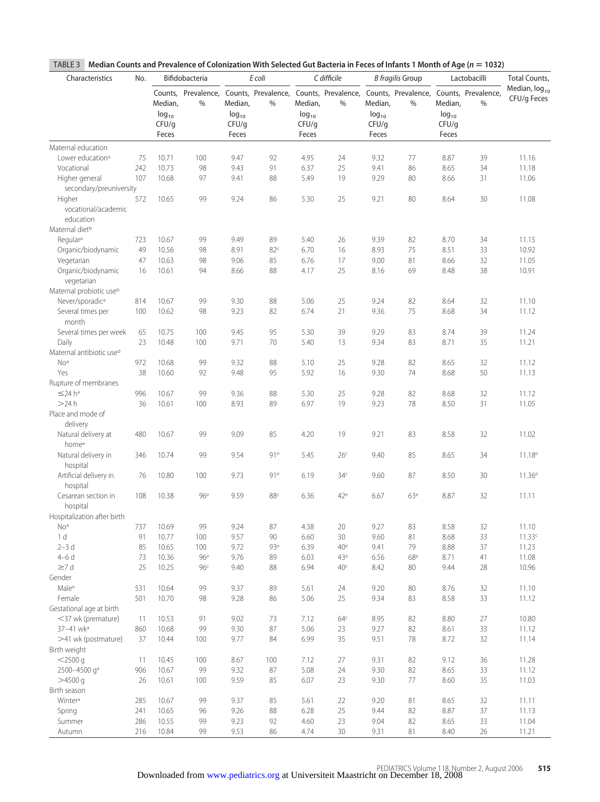| Characteristics                                             | No. |                                         | Bifidobacteria                                                                                           |                                         | E coli          |                                         | C difficile     |                                         | <b>B</b> fragilis Group |                                         | Lactobacilli | Total Counts,                            |
|-------------------------------------------------------------|-----|-----------------------------------------|----------------------------------------------------------------------------------------------------------|-----------------------------------------|-----------------|-----------------------------------------|-----------------|-----------------------------------------|-------------------------|-----------------------------------------|--------------|------------------------------------------|
|                                                             |     | Median,<br>$log_{10}$<br>CFU/g<br>Feces | Counts, Prevalence, Counts, Prevalence, Counts, Prevalence, Counts, Prevalence, Counts, Prevalence,<br>% | Median,<br>$log_{10}$<br>CFU/g<br>Feces | $\%$            | Median,<br>$log_{10}$<br>CFU/g<br>Feces | %               | Median,<br>$log_{10}$<br>CFU/g<br>Feces | %                       | Median,<br>$log_{10}$<br>CFU/g<br>Feces | %            | Median, log <sub>10</sub><br>CFU/g Feces |
| Maternal education                                          |     |                                         |                                                                                                          |                                         |                 |                                         |                 |                                         |                         |                                         |              |                                          |
| Lower education <sup>a</sup>                                | 75  | 10.71                                   | 100                                                                                                      | 9.47                                    | 92              | 4.95                                    | 24              | 9.32                                    | 77                      | 8.87                                    | 39           | 11.16                                    |
| Vocational                                                  | 242 | 10.73                                   | 98                                                                                                       | 9.43                                    | 91              | 6.37                                    | 25              | 9.41                                    | 86                      | 8.65                                    | 34           | 11.18                                    |
| Higher general                                              | 107 | 10.68                                   | 97                                                                                                       | 9.41                                    | 88              | 5.49                                    | 19              | 9.29                                    | 80                      | 8.66                                    | 31           | 11.06                                    |
| secondary/preuniversity                                     |     |                                         |                                                                                                          |                                         |                 |                                         |                 |                                         |                         |                                         |              |                                          |
| Higher<br>vocational/academic<br>education                  | 572 | 10.65                                   | 99                                                                                                       | 9.24                                    | 86              | 5.30                                    | 25              | 9.21                                    | 80                      | 8.64                                    | 30           | 11.08                                    |
| Maternal diet <sup>b</sup>                                  |     |                                         |                                                                                                          |                                         |                 |                                         |                 |                                         |                         |                                         |              |                                          |
| Regular <sup>a</sup>                                        | 723 | 10.67                                   | 99                                                                                                       | 9.49                                    | 89              | 5.40                                    | 26              | 9.39                                    | 82                      | 8.70                                    | 34           | 11.15                                    |
| Organic/biodynamic                                          | 49  | 10.56                                   | 98                                                                                                       | 8.91                                    | 82 <sup>c</sup> | 6.70                                    | 16              | 8.93                                    | 75                      | 8.51                                    | 33           | 10.92                                    |
| Vegetarian                                                  | 47  | 10.63                                   | 98                                                                                                       | 9.06                                    | 85              | 6.76                                    | 17              | 9.00                                    | 81                      | 8.66                                    | 32           | 11.05                                    |
| Organic/biodynamic<br>vegetarian<br>Maternal probiotic useb | 16  | 10.61                                   | 94                                                                                                       | 8.66                                    | 88              | 4.17                                    | 25              | 8.16                                    | 69                      | 8.48                                    | 38           | 10.91                                    |
| Never/sporadic <sup>a</sup>                                 | 814 | 10.67                                   | 99                                                                                                       | 9.30                                    | 88              | 5.06                                    | 25              | 9.24                                    | 82                      | 8.64                                    | 32           | 11.10                                    |
| Several times per<br>month                                  | 100 | 10.62                                   | 98                                                                                                       | 9.23                                    | 82              | 6.74                                    | 21              | 9.36                                    | 75                      | 8.68                                    | 34           | 11.12                                    |
| Several times per week                                      | 65  | 10.75                                   | 100                                                                                                      | 9.45                                    | 95              | 5.30                                    | 39              | 9.29                                    | 83                      | 8.74                                    | 39           | 11.24                                    |
| Daily                                                       | 23  | 10.48                                   | 100                                                                                                      | 9.71                                    | 70              | 5.40                                    | 13              | 9.34                                    | 83                      | 8.71                                    | 35           | 11.21                                    |
| Maternal antibiotic used                                    |     |                                         |                                                                                                          |                                         |                 |                                         |                 |                                         |                         |                                         |              |                                          |
| No <sup>a</sup>                                             | 972 | 10.68                                   | 99                                                                                                       | 9.32                                    | 88              | 5.10                                    | 25              | 9.28                                    | 82                      | 8.65                                    | 32           | 11.12                                    |
| Yes                                                         | 38  | 10.60                                   | 92                                                                                                       | 9.48                                    | 95              | 5.92                                    | 16              | 9.30                                    | 74                      | 8.68                                    | 50           | 11.13                                    |
| Rupture of membranes                                        |     |                                         |                                                                                                          |                                         |                 |                                         |                 |                                         |                         |                                         |              |                                          |
| $\leq$ 24 h <sup>a</sup>                                    | 996 | 10.67                                   | 99                                                                                                       | 9.36                                    | 88              | 5.30                                    | 25              | 9.28                                    | 82                      | 8.68                                    | 32           | 11.12                                    |
| >24h                                                        | 36  | 10.61                                   | 100                                                                                                      | 8.93                                    | 89              | 6.97                                    | 19              | 9.23                                    | 78                      | 8.50                                    | 31           | 11.05                                    |
| Place and mode of<br>delivery                               |     |                                         |                                                                                                          |                                         |                 |                                         |                 |                                         |                         |                                         |              |                                          |
| Natural delivery at                                         | 480 | 10.67                                   | 99                                                                                                       | 9.09                                    | 85              | 4.20                                    | 19              | 9.21                                    | 83                      | 8.58                                    | 32           | 11.02                                    |
| homea<br>Natural delivery in<br>hospital                    | 346 | 10.74                                   | 99                                                                                                       | 9.54                                    | 91 <sup>e</sup> | 5.45                                    | 26 <sup>c</sup> | 9.40                                    | 85                      | 8.65                                    | 34           | 11.18 <sup>e</sup>                       |
| Artificial delivery in<br>hospital                          | 76  | 10.80                                   | 100                                                                                                      | 9.73                                    | 91 <sup>e</sup> | 6.19                                    | 34 <sup>c</sup> | 9.60                                    | 87                      | 8.50                                    | 30           | 11.36 <sup>e</sup>                       |
| Cesarean section in<br>hospital                             | 108 | 10.38                                   | 96 <sup>e</sup>                                                                                          | 9.59                                    | 88c             | 6.36                                    | 42 <sup>e</sup> | 6.67                                    | 63 <sup>e</sup>         | 8.87                                    | 32           | 11.11                                    |
| Hospitalization after birth                                 |     |                                         |                                                                                                          |                                         |                 |                                         |                 |                                         |                         |                                         |              |                                          |
| Noa                                                         | 737 | 10.69                                   | 99                                                                                                       | 9.24                                    | 87              | 4.38                                    | 20              | 9.27                                    | 83                      | 8.58                                    | 32           | 11.10                                    |
| 1 <sub>d</sub>                                              | 91  | 10.77                                   | 100                                                                                                      | 9.57                                    | 90              | 6.60                                    | 30              | 9.60                                    | 81                      | 8.68                                    | 33           | 11.33c                                   |
| $2-3d$                                                      | 85  | 10.65                                   | 100                                                                                                      | 9.72                                    | 93 <sup>e</sup> | 6.39                                    | $40^{\circ}$    | 9.41                                    | 79                      | 8.88                                    | 37           | 11.23                                    |
| $4-6d$                                                      | 73  | 10.36                                   | 96 <sup>e</sup>                                                                                          | 9.76                                    | 89              | 6.03                                    | 43 <sup>e</sup> | 6.56                                    | 68 <sup>e</sup>         | 8.71                                    | 41           | 11.08                                    |
| $\geq 7 d$                                                  | 25  | 10.25                                   | 96c                                                                                                      | 9.40                                    | 88              | 6.94                                    | 40 <sup>c</sup> | 8.42                                    | 80                      | 9.44                                    | 28           | 10.96                                    |
| Gender                                                      |     |                                         |                                                                                                          |                                         |                 |                                         |                 |                                         |                         |                                         |              |                                          |
| Male <sup>a</sup>                                           | 531 | 10.64                                   | 99                                                                                                       | 9.37                                    | 89              | 5.61                                    | 24              | 9.20                                    | 80                      | 8.76                                    | 32           | 11.10                                    |
| Female                                                      | 501 | 10.70                                   | 98                                                                                                       | 9.28                                    | 86              | 5.06                                    | 25              | 9.34                                    | 83                      | 8.58                                    | 33           | 11.12                                    |
| Gestational age at birth                                    |     |                                         |                                                                                                          |                                         |                 |                                         |                 |                                         |                         |                                         |              |                                          |
| <37 wk (premature)                                          | 11  | 10.53                                   | 91                                                                                                       | 9.02                                    | 73              | 7.12                                    | 64 <sup>c</sup> | 8.95                                    | 82                      | 8.80                                    | 27           | 10.80                                    |
| 37-41 wka                                                   | 860 | 10.68                                   | 99                                                                                                       | 9.30                                    | 87              | 5.06                                    | 23              | 9.27                                    | 82                      | 8.61                                    | 33           | 11.12                                    |
| >41 wk (postmature)<br>Birth weight                         | 37  | 10.44                                   | 100                                                                                                      | 9.77                                    | 84              | 6.99                                    | 35              | 9.51                                    | 78                      | 8.72                                    | 32           | 11.14                                    |
| $<$ 2500 $q$                                                | 11  | 10.45                                   | 100                                                                                                      | 8.67                                    | 100             | 7.12                                    | 27              | 9.31                                    | 82                      | 9.12                                    | 36           | 11.28                                    |
| 2500-4500 g <sup>a</sup>                                    | 906 | 10.67                                   | 99                                                                                                       | 9.32                                    | $87\,$          | 5.08                                    | 24              | 9.30                                    | 82                      | 8.65                                    | 33           | 11.12                                    |
| $>4500$ q                                                   | 26  | 10.61                                   | 100                                                                                                      | 9.59                                    | 85              | 6.07                                    | 23              | 9.30                                    | 77                      | 8.60                                    | 35           | 11.03                                    |
| Birth season                                                |     |                                         |                                                                                                          |                                         |                 |                                         |                 |                                         |                         |                                         |              |                                          |
| Winter <sup>a</sup>                                         | 285 | 10.67                                   | 99                                                                                                       | 9.37                                    | 85              | 5.61                                    | 22              | 9.20                                    | 81                      | 8.65                                    | 32           | 11.11                                    |
| Spring                                                      | 241 | 10.65                                   | 96                                                                                                       | 9.26                                    | 88              | 6.28                                    | 25              | 9.44                                    | 82                      | 8.87                                    | 37           | 11.13                                    |
| Summer                                                      | 286 | 10.55                                   | 99                                                                                                       | 9.23                                    | 92              | 4.60                                    | 23              | 9.04                                    | 82                      | 8.65                                    | 33           | 11.04                                    |
| Autumn                                                      | 216 | 10.84                                   | 99                                                                                                       | 9.53                                    | 86              | 4.74                                    | 30              | 9.31                                    | 81                      | 8.40                                    | 26           | 11.21                                    |

|  | TABLE 3 Median Counts and Prevalence of Colonization With Selected Gut Bacteria in Feces of Infants 1 Month of Age ( $n = 1032$ ) |  |
|--|-----------------------------------------------------------------------------------------------------------------------------------|--|
|--|-----------------------------------------------------------------------------------------------------------------------------------|--|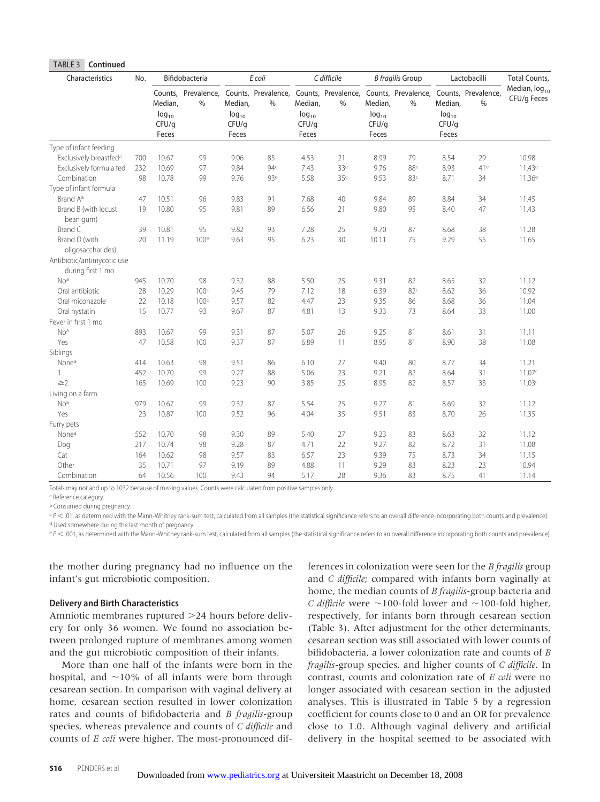| TABLE 3<br>Continued                            |     |                                         |                             |                                         |                                                                     |                                         |                 |                                         |                         |                                         |                             |                                          |
|-------------------------------------------------|-----|-----------------------------------------|-----------------------------|-----------------------------------------|---------------------------------------------------------------------|-----------------------------------------|-----------------|-----------------------------------------|-------------------------|-----------------------------------------|-----------------------------|------------------------------------------|
| Characteristics                                 | No. |                                         | Bifidobacteria              |                                         | E coli                                                              |                                         | C difficile     |                                         | <b>B</b> fragilis Group |                                         | Lactobacilli                | <b>Total Counts,</b>                     |
|                                                 |     | Median,<br>$log_{10}$<br>CFU/q<br>Feces | Counts, Prevalence,<br>$\%$ | Median,<br>$log_{10}$<br>CFU/q<br>Feces | Counts, Prevalence, Counts, Prevalence, Counts, Prevalence,<br>$\%$ | Median,<br>$log_{10}$<br>CFU/g<br>Feces | $\%$            | Median,<br>$log_{10}$<br>CFU/g<br>Feces | $\%$                    | Median,<br>$log_{10}$<br>CFU/q<br>Feces | Counts, Prevalence,<br>$\%$ | Median, log <sub>10</sub><br>CFU/g Feces |
| Type of infant feeding                          |     |                                         |                             |                                         |                                                                     |                                         |                 |                                         |                         |                                         |                             |                                          |
| Exclusively breastfed <sup>a</sup>              | 700 | 10.67                                   | 99                          | 9.06                                    | 85                                                                  | 4.53                                    | 21              | 8.99                                    | 79                      | 8.54                                    | 29                          | 10.98                                    |
| Exclusively formula fed                         | 232 | 10.69                                   | 97                          | 9.84                                    | 94 <sup>e</sup>                                                     | 7.43                                    | 33 <sup>e</sup> | 9.76                                    | 88 <sup>e</sup>         | 8.93                                    | 41e                         | 11.43 <sup>e</sup>                       |
| Combination                                     | 98  | 10.78                                   | 99                          | 9.76                                    | 93 <sup>e</sup>                                                     | 5.58                                    | 35 <sup>c</sup> | 9.53                                    | 83 <sup>c</sup>         | 8.71                                    | 34                          | $11.36^e$                                |
| Type of infant formula                          |     |                                         |                             |                                         |                                                                     |                                         |                 |                                         |                         |                                         |                             |                                          |
| Brand A <sup>a</sup>                            | 47  | 10.51                                   | 96                          | 9.83                                    | 91                                                                  | 7.68                                    | 40              | 9.84                                    | 89                      | 8.84                                    | 34                          | 11.45                                    |
| Brand B (with locust<br>bean gum)               | 19  | 10.80                                   | 95                          | 9.81                                    | 89                                                                  | 6.56                                    | 21              | 9.80                                    | 95                      | 8.40                                    | 47                          | 11.43                                    |
| Brand C                                         | 39  | 10.81                                   | 95                          | 9.82                                    | 93                                                                  | 7.28                                    | 25              | 9.70                                    | 87                      | 8.68                                    | 38                          | 11.28                                    |
| Brand D (with<br>oligosaccharides)              | 20  | 11.19                                   | 100 <sup>e</sup>            | 9.63                                    | 95                                                                  | 6.23                                    | 30              | 10.11                                   | 75                      | 9.29                                    | 55                          | 11.65                                    |
| Antibiotic/antimycotic use<br>during first 1 mo |     |                                         |                             |                                         |                                                                     |                                         |                 |                                         |                         |                                         |                             |                                          |
| Noa                                             | 945 | 10.70                                   | 98                          | 9.32                                    | 88                                                                  | 5.50                                    | 25              | 9.31                                    | 82                      | 8.65                                    | 32                          | 11.12                                    |
| Oral antibiotic                                 | 28  | 10.29                                   | 100c                        | 9.45                                    | 79                                                                  | 7.12                                    | 18              | 6.39                                    | 82 <sup>c</sup>         | 8.62                                    | 36                          | 10.92                                    |
| Oral miconazole                                 | 22  | 10.18                                   | 100 <sup>c</sup>            | 9.57                                    | 82                                                                  | 4.47                                    | 23              | 9.35                                    | 86                      | 8.68                                    | 36                          | 11.04                                    |
| Oral nystatin                                   | 15  | 10.77                                   | 93                          | 9.67                                    | 87                                                                  | 4.81                                    | 13              | 9.33                                    | 73                      | 8.64                                    | 33                          | 11.00                                    |
| Fever in first 1 mo                             |     |                                         |                             |                                         |                                                                     |                                         |                 |                                         |                         |                                         |                             |                                          |
| No <sup>a</sup>                                 | 893 | 10.67                                   | 99                          | 9.31                                    | 87                                                                  | 5.07                                    | 26              | 9.25                                    | 81                      | 8.61                                    | 31                          | 11.11                                    |
| Yes                                             | 47  | 10.58                                   | 100                         | 9.37                                    | 87                                                                  | 6.89                                    | 11              | 8.95                                    | 81                      | 8.90                                    | 38                          | 11.08                                    |
| Siblings                                        |     |                                         |                             |                                         |                                                                     |                                         |                 |                                         |                         |                                         |                             |                                          |
| None <sup>a</sup>                               | 414 | 10.63                                   | 98                          | 9.51                                    | 86                                                                  | 6.10                                    | 27              | 9.40                                    | 80                      | 8.77                                    | 34                          | 11.21                                    |
| $\mathbf{1}$                                    | 452 | 10.70                                   | 99                          | 9.27                                    | 88                                                                  | 5.06                                    | 23              | 9.21                                    | 82                      | 8.64                                    | 31                          | 11.07c                                   |
| $\geq$ 2                                        | 165 | 10.69                                   | 100                         | 9.23                                    | 90                                                                  | 3.85                                    | 25              | 8.95                                    | 82                      | 8.57                                    | 33                          | 11.03c                                   |
| Living on a farm                                |     |                                         |                             |                                         |                                                                     |                                         |                 |                                         |                         |                                         |                             |                                          |
| Noa                                             | 979 | 10.67                                   | 99                          | 9.32                                    | 87                                                                  | 5.54                                    | 25              | 9.27                                    | 81                      | 8.69                                    | 32                          | 11.12                                    |
| Yes                                             | 23  | 10.87                                   | 100                         | 9.52                                    | 96                                                                  | 4.04                                    | 35              | 9.51                                    | 83                      | 8.70                                    | 26                          | 11.35                                    |
| Furry pets                                      |     |                                         |                             |                                         |                                                                     |                                         |                 |                                         |                         |                                         |                             |                                          |
| None <sup>a</sup>                               | 552 | 10.70                                   | 98                          | 9.30                                    | 89                                                                  | 5.40                                    | 27              | 9.23                                    | 83                      | 8.63                                    | 32                          | 11.12                                    |
| Dog                                             | 217 | 10.74                                   | 98                          | 9.28                                    | 87                                                                  | 4.71                                    | 22              | 9.27                                    | 82                      | 8.72                                    | 31                          | 11.08                                    |
| Cat                                             | 164 | 10.62                                   | 98                          | 9.57                                    | 83                                                                  | 6.57                                    | 23              | 9.39                                    | 75                      | 8.73                                    | 34                          | 11.15                                    |
| Other                                           | 35  | 10.71                                   | 97                          | 9.19                                    | 89                                                                  | 4.88                                    | 11              | 9.29                                    | 83                      | 8.23                                    | 23                          | 10.94                                    |
| Combination                                     | 64  | 10.56                                   | 100                         | 9.43                                    | 94                                                                  | 5.17                                    | 28              | 9.36                                    | 83                      | 8.75                                    | 41                          | 11.14                                    |

Totals may not add up to 1032 because of missing values. Counts were calculated from positive samples only.

a Reference category.

b Consumed during pregnancy.

 $c \cdot P < 0.01$ , as determined with the Mann-Whitney rank-sum test, calculated from all samples (the statistical significance refers to an overall difference incorporating both counts and prevalence).

d Used somewhere during the last month of pregnancy.

e  $P < .001$ , as determined with the Mann-Whitney rank-sum test, calculated from all samples (the statistical significance refers to an overall difference incorporating both counts and prevalence).

the mother during pregnancy had no influence on the infant's gut microbiotic composition.

## **Delivery and Birth Characteristics**

Amniotic membranes ruptured >24 hours before delivery for only 36 women. We found no association between prolonged rupture of membranes among women and the gut microbiotic composition of their infants.

More than one half of the infants were born in the hospital, and  $\sim$ 10% of all infants were born through cesarean section. In comparison with vaginal delivery at home, cesarean section resulted in lower colonization rates and counts of bifidobacteria and *B fragilis*-group species, whereas prevalence and counts of *C difficile* and counts of *E coli* were higher. The most-pronounced dif-

ferences in colonization were seen for the *B fragilis* group and *C difficile*; compared with infants born vaginally at home, the median counts of *B fragilis*-group bacteria and *C* difficile were  $\sim$ 100-fold lower and  $\sim$ 100-fold higher, respectively, for infants born through cesarean section (Table 3). After adjustment for the other determinants, cesarean section was still associated with lower counts of bifidobacteria, a lower colonization rate and counts of *B fragilis*-group species, and higher counts of *C difficile*. In contrast, counts and colonization rate of *E coli* were no longer associated with cesarean section in the adjusted analyses. This is illustrated in Table 5 by a regression coefficient for counts close to 0 and an OR for prevalence close to 1.0. Although vaginal delivery and artificial delivery in the hospital seemed to be associated with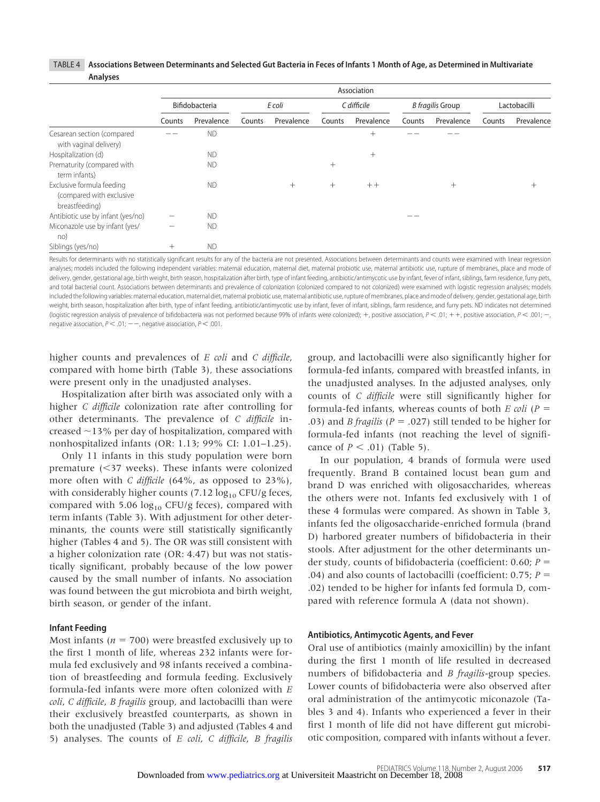| TABLE 4 Associations Between Determinants and Selected Gut Bacteria in Feces of Infants 1 Month of Age, as Determined in Multivariate |
|---------------------------------------------------------------------------------------------------------------------------------------|
| Analyses                                                                                                                              |

|                                                                         |        |                |        |            |        | Association |        |                         |        |              |
|-------------------------------------------------------------------------|--------|----------------|--------|------------|--------|-------------|--------|-------------------------|--------|--------------|
|                                                                         |        | Bifidobacteria |        | E coli     |        | C difficile |        | <b>B</b> fragilis Group |        | Lactobacilli |
|                                                                         | Counts | Prevalence     | Counts | Prevalence | Counts | Prevalence  | Counts | Prevalence              | Counts | Prevalence   |
| Cesarean section (compared<br>with vaginal delivery)                    |        | <b>ND</b>      |        |            |        | $+$         |        |                         |        |              |
| Hospitalization (d)                                                     |        | <b>ND</b>      |        |            |        | $^{+}$      |        |                         |        |              |
| Prematurity (compared with<br>term infants)                             |        | <b>ND</b>      |        |            | $^{+}$ |             |        |                         |        |              |
| Exclusive formula feeding<br>(compared with exclusive<br>breastfeeding) |        | <b>ND</b>      |        | $^{+}$     | $^{+}$ | $++$        |        | $^+$                    |        | $^+$         |
| Antibiotic use by infant (yes/no)                                       |        | <b>ND</b>      |        |            |        |             |        |                         |        |              |
| Miconazole use by infant (yes/<br>no)                                   |        | <b>ND</b>      |        |            |        |             |        |                         |        |              |
| Siblings (yes/no)                                                       | $^{+}$ | <b>ND</b>      |        |            |        |             |        |                         |        |              |

Results for determinants with no statistically significant results for any of the bacteria are not presented. Associations between determinants and counts were examined with linear regression analyses; models included the following independent variables: maternal education, maternal diet, maternal probiotic use, maternal antibiotic use, rupture of membranes, place and mode of delivery, gender, gestational age, birth weight, birth season, hospitalization after birth, type of infant feeding, antibiotic/antimycotic use by infant, fever of infant, siblings, farm residence, furry pets, and total bacterial count. Associations between determinants and prevalence of colonization (colonized compared to not colonized) were examined with logistic regression analyses; models included the following variables: maternal education, maternal diet, maternal probiotic use, maternal antibiotic use, rupture of membranes, place and mode of delivery, gender, gestational age, birth weight, birth season, hospitalization after birth, type of infant feeding, antibiotic/antimycotic use by infant, fever of infant, siblings, farm residence, and furry pets. ND indicates not determined (logistic regression analysis of prevalence of bifidobacteria was not performed because 99% of infants were colonized); +, positive association,  $P < 0.01$ ; +, positive association,  $P < 0.01$ ; -, negative association,  $P < 0.01$ :  $- -$ , negative association,  $P < 0.001$ .

higher counts and prevalences of *E coli* and *C difficile*, compared with home birth (Table 3)*,* these associations were present only in the unadjusted analyses.

Hospitalization after birth was associated only with a higher *C difficile* colonization rate after controlling for other determinants. The prevalence of *C difficile* increased  $\sim$ 13% per day of hospitalization, compared with nonhospitalized infants (OR: 1.13; 99% CI: 1.01–1.25).

Only 11 infants in this study population were born premature (37 weeks). These infants were colonized more often with *C difficile* (64%, as opposed to 23%), with considerably higher counts (7.12  $log_{10}$  CFU/g feces, compared with 5.06  $log_{10}$  CFU/g feces), compared with term infants (Table 3). With adjustment for other determinants, the counts were still statistically significantly higher (Tables 4 and 5). The OR was still consistent with a higher colonization rate (OR: 4.47) but was not statistically significant, probably because of the low power caused by the small number of infants. No association was found between the gut microbiota and birth weight, birth season, or gender of the infant.

## **Infant Feeding**

Most infants ( $n = 700$ ) were breastfed exclusively up to the first 1 month of life, whereas 232 infants were formula fed exclusively and 98 infants received a combination of breastfeeding and formula feeding. Exclusively formula-fed infants were more often colonized with *E coli*, *C difficile*, *B fragilis* group, and lactobacilli than were their exclusively breastfed counterparts, as shown in both the unadjusted (Table 3) and adjusted (Tables 4 and 5) analyses. The counts of *E coli*, *C difficile*, *B fragilis*

group, and lactobacilli were also significantly higher for formula-fed infants, compared with breastfed infants, in the unadjusted analyses. In the adjusted analyses, only counts of *C difficile* were still significantly higher for formula-fed infants, whereas counts of both *E coli* (*P* - .03) and *B* fragilis ( $P = .027$ ) still tended to be higher for formula-fed infants (not reaching the level of significance of  $P \leq .01$ ) (Table 5).

In our population, 4 brands of formula were used frequently. Brand B contained locust bean gum and brand D was enriched with oligosaccharides, whereas the others were not. Infants fed exclusively with 1 of these 4 formulas were compared. As shown in Table 3, infants fed the oligosaccharide-enriched formula (brand D) harbored greater numbers of bifidobacteria in their stools. After adjustment for the other determinants under study, counts of bifidobacteria (coefficient: 0.60; *P* - .04) and also counts of lactobacilli (coefficient:  $0.75$ ;  $P =$ .02) tended to be higher for infants fed formula D, compared with reference formula A (data not shown).

#### **Antibiotics, Antimycotic Agents, and Fever**

Oral use of antibiotics (mainly amoxicillin) by the infant during the first 1 month of life resulted in decreased numbers of bifidobacteria and *B fragilis*-group species. Lower counts of bifidobacteria were also observed after oral administration of the antimycotic miconazole (Tables 3 and 4). Infants who experienced a fever in their first 1 month of life did not have different gut microbiotic composition, compared with infants without a fever.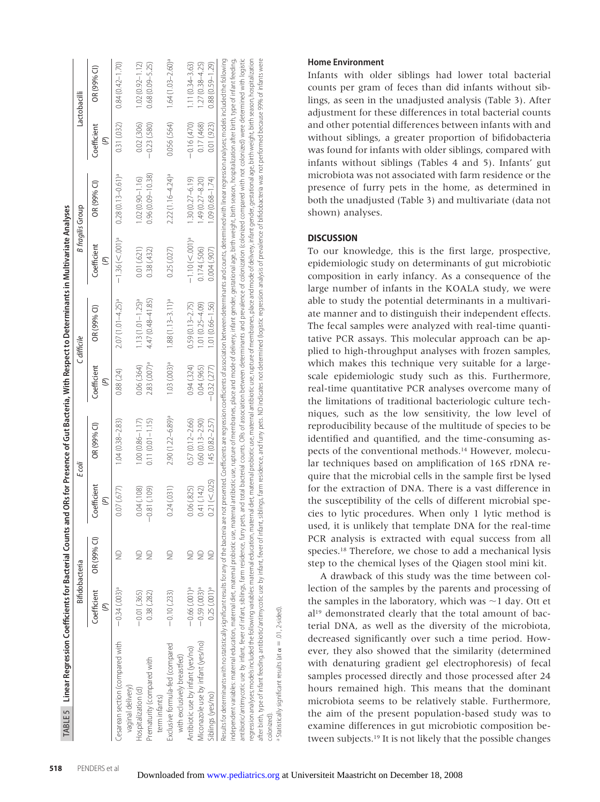| TABLE 5 Linear Regression Coefficients for Bacterial Counts and ORs for Presence of Gut Bacteria, With Respect to Determinants in Multivariate Analyses                                                                                                                                                                                                                                                                                                                                                                                                                                                                                                                                                                                                                                                                                                                                                                                                                                                                                                                                                                                                               |                                                             | Bifidobacteria |                               | Ecoli                                      |                            | Cdifficile                              |                                   | <b>B</b> fraqilis Group                    |                        | Lactobacilli                             |
|-----------------------------------------------------------------------------------------------------------------------------------------------------------------------------------------------------------------------------------------------------------------------------------------------------------------------------------------------------------------------------------------------------------------------------------------------------------------------------------------------------------------------------------------------------------------------------------------------------------------------------------------------------------------------------------------------------------------------------------------------------------------------------------------------------------------------------------------------------------------------------------------------------------------------------------------------------------------------------------------------------------------------------------------------------------------------------------------------------------------------------------------------------------------------|-------------------------------------------------------------|----------------|-------------------------------|--------------------------------------------|----------------------------|-----------------------------------------|-----------------------------------|--------------------------------------------|------------------------|------------------------------------------|
|                                                                                                                                                                                                                                                                                                                                                                                                                                                                                                                                                                                                                                                                                                                                                                                                                                                                                                                                                                                                                                                                                                                                                                       | Coefficient<br>$\mathfrak{S}$                               | OR (99% CI)    | Coefficient<br>$\mathfrak{S}$ | OR (99% CI)                                | Coefficient<br>g           | OR (99% CI)                             | Coefficient<br>Q                  | OR (99% CI)                                | Coefficient<br>Q       | OR (99% CI)                              |
| Lesarean section (compared with<br>vaginal delivery)                                                                                                                                                                                                                                                                                                                                                                                                                                                                                                                                                                                                                                                                                                                                                                                                                                                                                                                                                                                                                                                                                                                  | $-0.34(.003)^a$                                             | ⋚              | 0.07(677)                     | $1.04(0.38 - 2.83)$                        | 0.88(.24)                  | $2.07(1.01 - 4.25)$ <sup>a</sup>        | $-1.36 \, (< 0.001)$ <sup>a</sup> | $0.28(0.13 - 0.61)$ <sup>a</sup>           | 0.31 (.032)            | $0.84(0.42 - 1.70)$                      |
| Hospitalization (d)                                                                                                                                                                                                                                                                                                                                                                                                                                                                                                                                                                                                                                                                                                                                                                                                                                                                                                                                                                                                                                                                                                                                                   | $-0.01(0.365)$                                              |                | $0.04$ (.108)                 | $1.00(0.86 - 1.17)$                        | 0.06(.364)                 | $1.13(1.01 - 1.25)$ <sup>a</sup>        | 0.01(621)                         | $1.02(0.90 - 1.16)$                        | 0.02(0.306)            | $1.02(0.92 - 1.12)$                      |
| Prematurity (compared with<br>term infants)                                                                                                                                                                                                                                                                                                                                                                                                                                                                                                                                                                                                                                                                                                                                                                                                                                                                                                                                                                                                                                                                                                                           | 0.38(282)                                                   |                | $-0.81(0.109)$                | $0.11(0.01 - 1.15)$                        | $2.83$ (.007) <sup>a</sup> | $4.47(0.48 - 41.85)$                    | 0.38(.432)                        | $0.96(0.09 - 10.38)$                       | $-0.23(580)$           | $0.68(0.09 - 5.25)$                      |
| Exclusive formula-fed (compared<br>with exclusively breastfed)                                                                                                                                                                                                                                                                                                                                                                                                                                                                                                                                                                                                                                                                                                                                                                                                                                                                                                                                                                                                                                                                                                        | $-0.10(233)$                                                | ₽              | 0.24(031)                     | $2.90(1.22 - 6.89)$ <sup>a</sup>           | $1.03$ $(.003)^a$          | $1.88(1.13-3.11)a$                      | 0.25(.027)                        | $2.22(1.16 - 4.24)$ <sup>a</sup>           | 0.056(564)             | $1.64(1.03 - 2.60)$ <sup>a</sup>         |
| Antibiotic use by infant (yes/no)                                                                                                                                                                                                                                                                                                                                                                                                                                                                                                                                                                                                                                                                                                                                                                                                                                                                                                                                                                                                                                                                                                                                     | $-0.66$ $(.001)$ <sup>a</sup>                               |                | 0.06 (.825)                   | $0.57(0.12 - 2.66)$                        | 0.94(324)                  | $0.59(0.13 - 2.75)$                     | $-1.10 \, (< 0.001$ <sup>a</sup>  | $1.30(0.27 - 6.19)$                        | $-0.16(470)$           | $1.11(0.34 - 3.63)$                      |
| Miconazole use by infant (yes/no)<br>Siblings (yes/no)                                                                                                                                                                                                                                                                                                                                                                                                                                                                                                                                                                                                                                                                                                                                                                                                                                                                                                                                                                                                                                                                                                                | $-0.59$ (.003) <sup>a</sup><br>$0.25$ $(.001)$ <sup>a</sup> |                | $0.21$ (<.025)<br>0.41(.142)  | $0.60(0.13 - 2.90)$<br>$1.45(0.82 - 2.57)$ | $-0.32(277)$<br>0.04(965)  | $1.01(0.25 - 4.09)$<br>1.01 (0.66-1.56) | 0.174 (.506)<br>0.004(907)        | $1.49(0.27 - 8.20)$<br>$1.09(0.68 - 1.74)$ | 0.01(923)<br>0.17(468) | $27(0.38 - 4.25)$<br>$0.88(0.59 - 1.29)$ |
| Results for determinants with no statistically significant results for any of the bacteria are not presented. Coefficients are regression coefficients of association between determinants and counts, determined with linear<br>independent variables: maternal diet, maternal probiotic use, maternal antibiotic use, rupture of membranes, place and mode of delivery, infant gender, gestational age, birth weight, birth season, hospitalization after bir<br>antibiotic/antimycotic use by infant, siblings, farm residence, furry pets, and total bacterial counts. ORs of association between determinants and prevalence of colonized compared with not colonized were determined with l<br>regression analyses; models the followind variables; matemaleducation, matemal probioticuse; matemal antibioticuse; rupture of membranes, place and mode ilvery, infant genery, infant general bid weight, birth season, hospi<br>after birth, type of infant feeding, antibiotic/antinycotic use by infant, fever of infant, fever of infant, itblings, farm residence, and furry pets. ND indicates not determined (logistic regression analysis of prevalence |                                                             |                |                               |                                            |                            |                                         |                                   |                                            |                        |                                          |
| colonized)                                                                                                                                                                                                                                                                                                                                                                                                                                                                                                                                                                                                                                                                                                                                                                                                                                                                                                                                                                                                                                                                                                                                                            |                                                             |                |                               |                                            |                            |                                         |                                   |                                            |                        |                                          |

## **Home Environment**

Infants with older siblings had lower total bacterial counts per gram of feces than did infants without siblings, as seen in the unadjusted analysis (Table 3). After adjustment for these differences in total bacterial counts and other potential differences between infants with and without siblings, a greater proportion of bifidobacteria was found for infants with older siblings, compared with infants without siblings (Tables 4 and 5). Infants' gut microbiota was not associated with farm residence or the presence of furry pets in the home, as determined in both the unadjusted (Table 3) and multivariate (data not shown) analyses.

#### **DISCUSSION**

To our knowledge, this is the first large, prospective, epidemiologic study on determinants of gut microbiotic composition in early infancy. As a consequence of the large number of infants in the KOALA study, we were able to study the potential determinants in a multivariate manner and to distinguish their independent effects. The fecal samples were analyzed with real-time quantitative PCR assays. This molecular approach can be applied to high-throughput analyses with frozen samples, which makes this technique very suitable for a largescale epidemiologic study such as this. Furthermore, real-time quantitative PCR analyses overcome many of the limitations of traditional bacteriologic culture techniques, such as the low sensitivity, the low level of reproducibility because of the multitude of species to be identified and quantified, and the time-consuming aspects of the conventional methods.14 However, molecular techniques based on amplification of 16S rDNA require that the microbial cells in the sample first be lysed for the extraction of DNA. There is a vast difference in the susceptibility of the cells of different microbial species to lytic procedures. When only 1 lytic method is used, it is unlikely that template DNA for the real-time PCR analysis is extracted with equal success from all species.<sup>18</sup> Therefore, we chose to add a mechanical lysis step to the chemical lyses of the Qiagen stool mini kit.

A drawback of this study was the time between collection of the samples by the parents and processing of the samples in the laboratory, which was  $\sim$  1 day. Ott et al19 demonstrated clearly that the total amount of bacterial DNA, as well as the diversity of the microbiota, decreased significantly over such a time period. However, they also showed that the similarity (determined with denaturing gradient gel electrophoresis) of fecal samples processed directly and those processed after 24 hours remained high. This means that the dominant microbiota seems to be relatively stable. Furthermore, the aim of the present population-based study was to examine differences in gut microbiotic composition between subjects.19 It is not likely that the possible changes

 $^{\circ}$  Statistically significant results (at  $\alpha$ 

Statistically significant results (at  $\alpha = .01$ , 2-sided)

 $= 01, 2$ -sided).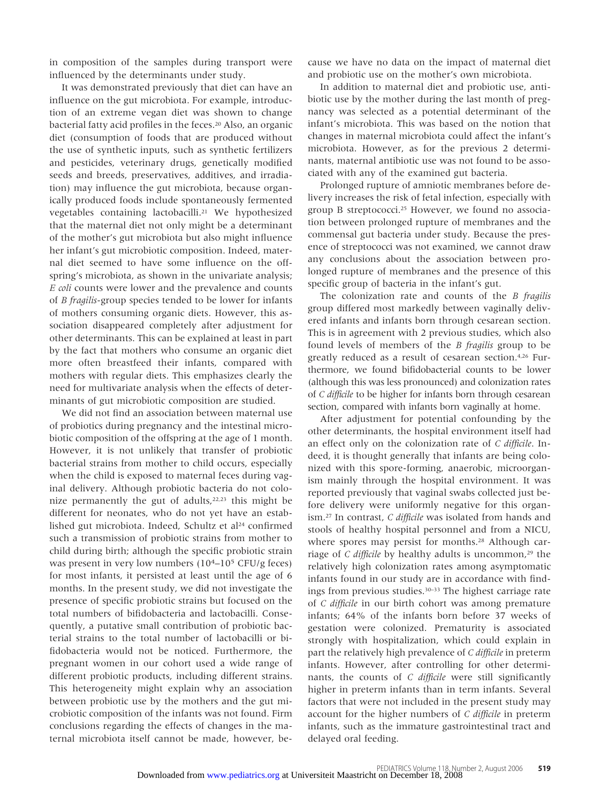in composition of the samples during transport were influenced by the determinants under study.

It was demonstrated previously that diet can have an influence on the gut microbiota. For example, introduction of an extreme vegan diet was shown to change bacterial fatty acid profiles in the feces.20 Also, an organic diet (consumption of foods that are produced without the use of synthetic inputs, such as synthetic fertilizers and pesticides, veterinary drugs, genetically modified seeds and breeds, preservatives, additives, and irradiation) may influence the gut microbiota, because organically produced foods include spontaneously fermented vegetables containing lactobacilli.21 We hypothesized that the maternal diet not only might be a determinant of the mother's gut microbiota but also might influence her infant's gut microbiotic composition. Indeed, maternal diet seemed to have some influence on the offspring's microbiota, as shown in the univariate analysis; *E coli* counts were lower and the prevalence and counts of *B fragilis*-group species tended to be lower for infants of mothers consuming organic diets. However, this association disappeared completely after adjustment for other determinants. This can be explained at least in part by the fact that mothers who consume an organic diet more often breastfeed their infants, compared with mothers with regular diets. This emphasizes clearly the need for multivariate analysis when the effects of determinants of gut microbiotic composition are studied.

We did not find an association between maternal use of probiotics during pregnancy and the intestinal microbiotic composition of the offspring at the age of 1 month. However, it is not unlikely that transfer of probiotic bacterial strains from mother to child occurs, especially when the child is exposed to maternal feces during vaginal delivery. Although probiotic bacteria do not colonize permanently the gut of adults,<sup>22,23</sup> this might be different for neonates, who do not yet have an established gut microbiota. Indeed, Schultz et al<sup>24</sup> confirmed such a transmission of probiotic strains from mother to child during birth; although the specific probiotic strain was present in very low numbers  $(10^4-10^5 \text{ CFU/g feces})$ for most infants, it persisted at least until the age of 6 months. In the present study, we did not investigate the presence of specific probiotic strains but focused on the total numbers of bifidobacteria and lactobacilli. Consequently, a putative small contribution of probiotic bacterial strains to the total number of lactobacilli or bifidobacteria would not be noticed. Furthermore, the pregnant women in our cohort used a wide range of different probiotic products, including different strains. This heterogeneity might explain why an association between probiotic use by the mothers and the gut microbiotic composition of the infants was not found. Firm conclusions regarding the effects of changes in the maternal microbiota itself cannot be made, however, because we have no data on the impact of maternal diet and probiotic use on the mother's own microbiota.

In addition to maternal diet and probiotic use, antibiotic use by the mother during the last month of pregnancy was selected as a potential determinant of the infant's microbiota. This was based on the notion that changes in maternal microbiota could affect the infant's microbiota. However, as for the previous 2 determinants, maternal antibiotic use was not found to be associated with any of the examined gut bacteria.

Prolonged rupture of amniotic membranes before delivery increases the risk of fetal infection, especially with group B streptococci.25 However, we found no association between prolonged rupture of membranes and the commensal gut bacteria under study. Because the presence of streptococci was not examined, we cannot draw any conclusions about the association between prolonged rupture of membranes and the presence of this specific group of bacteria in the infant's gut.

The colonization rate and counts of the *B fragilis* group differed most markedly between vaginally delivered infants and infants born through cesarean section. This is in agreement with 2 previous studies, which also found levels of members of the *B fragilis* group to be greatly reduced as a result of cesarean section.4,26 Furthermore, we found bifidobacterial counts to be lower (although this was less pronounced) and colonization rates of *C difficile* to be higher for infants born through cesarean section, compared with infants born vaginally at home.

After adjustment for potential confounding by the other determinants, the hospital environment itself had an effect only on the colonization rate of *C difficile*. Indeed, it is thought generally that infants are being colonized with this spore-forming, anaerobic, microorganism mainly through the hospital environment. It was reported previously that vaginal swabs collected just before delivery were uniformly negative for this organism.27 In contrast, *C difficile* was isolated from hands and stools of healthy hospital personnel and from a NICU, where spores may persist for months.<sup>28</sup> Although carriage of *C difficile* by healthy adults is uncommon,<sup>29</sup> the relatively high colonization rates among asymptomatic infants found in our study are in accordance with findings from previous studies.30–33 The highest carriage rate of *C difficile* in our birth cohort was among premature infants; 64% of the infants born before 37 weeks of gestation were colonized. Prematurity is associated strongly with hospitalization, which could explain in part the relatively high prevalence of *C difficile* in preterm infants. However, after controlling for other determinants, the counts of *C difficile* were still significantly higher in preterm infants than in term infants. Several factors that were not included in the present study may account for the higher numbers of *C difficile* in preterm infants, such as the immature gastrointestinal tract and delayed oral feeding.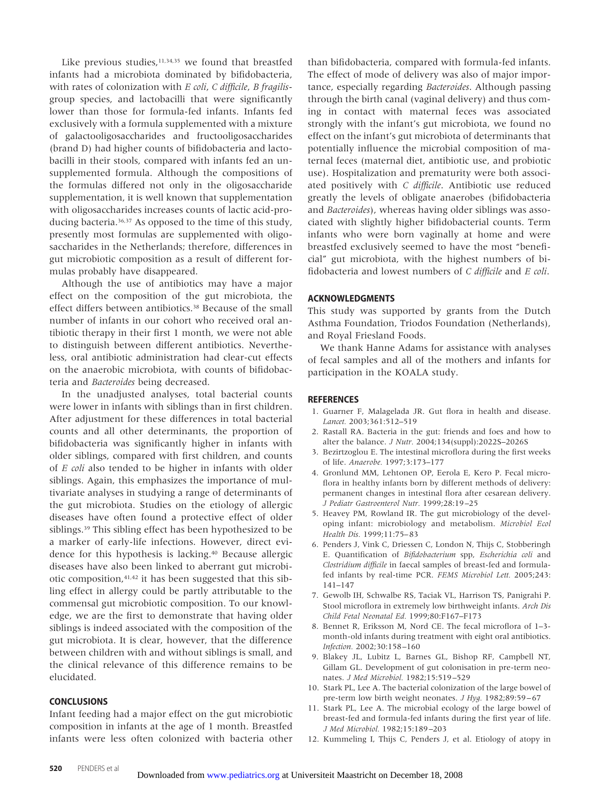Like previous studies, $11,34,35$  we found that breastfed infants had a microbiota dominated by bifidobacteria, with rates of colonization with *E coli*, *C difficile*, *B fragilis*group species, and lactobacilli that were significantly lower than those for formula-fed infants. Infants fed exclusively with a formula supplemented with a mixture of galactooligosaccharides and fructooligosaccharides (brand D) had higher counts of bifidobacteria and lactobacilli in their stools, compared with infants fed an unsupplemented formula. Although the compositions of the formulas differed not only in the oligosaccharide supplementation, it is well known that supplementation with oligosaccharides increases counts of lactic acid-producing bacteria.36,37 As opposed to the time of this study, presently most formulas are supplemented with oligosaccharides in the Netherlands; therefore, differences in gut microbiotic composition as a result of different formulas probably have disappeared.

Although the use of antibiotics may have a major effect on the composition of the gut microbiota, the effect differs between antibiotics.<sup>38</sup> Because of the small number of infants in our cohort who received oral antibiotic therapy in their first 1 month, we were not able to distinguish between different antibiotics. Nevertheless, oral antibiotic administration had clear-cut effects on the anaerobic microbiota, with counts of bifidobacteria and *Bacteroides* being decreased.

In the unadjusted analyses, total bacterial counts were lower in infants with siblings than in first children. After adjustment for these differences in total bacterial counts and all other determinants, the proportion of bifidobacteria was significantly higher in infants with older siblings, compared with first children, and counts of *E coli* also tended to be higher in infants with older siblings. Again, this emphasizes the importance of multivariate analyses in studying a range of determinants of the gut microbiota. Studies on the etiology of allergic diseases have often found a protective effect of older siblings.39 This sibling effect has been hypothesized to be a marker of early-life infections. However, direct evidence for this hypothesis is lacking.40 Because allergic diseases have also been linked to aberrant gut microbiotic composition,41,42 it has been suggested that this sibling effect in allergy could be partly attributable to the commensal gut microbiotic composition. To our knowledge, we are the first to demonstrate that having older siblings is indeed associated with the composition of the gut microbiota. It is clear, however, that the difference between children with and without siblings is small, and the clinical relevance of this difference remains to be elucidated.

#### **CONCLUSIONS**

Infant feeding had a major effect on the gut microbiotic composition in infants at the age of 1 month. Breastfed infants were less often colonized with bacteria other than bifidobacteria, compared with formula-fed infants. The effect of mode of delivery was also of major importance, especially regarding *Bacteroides*. Although passing through the birth canal (vaginal delivery) and thus coming in contact with maternal feces was associated strongly with the infant's gut microbiota, we found no effect on the infant's gut microbiota of determinants that potentially influence the microbial composition of maternal feces (maternal diet, antibiotic use, and probiotic use). Hospitalization and prematurity were both associated positively with *C difficile*. Antibiotic use reduced greatly the levels of obligate anaerobes (bifidobacteria and *Bacteroides*), whereas having older siblings was associated with slightly higher bifidobacterial counts. Term infants who were born vaginally at home and were breastfed exclusively seemed to have the most "beneficial" gut microbiota, with the highest numbers of bifidobacteria and lowest numbers of *C difficile* and *E coli*.

#### **ACKNOWLEDGMENTS**

This study was supported by grants from the Dutch Asthma Foundation, Triodos Foundation (Netherlands), and Royal Friesland Foods.

We thank Hanne Adams for assistance with analyses of fecal samples and all of the mothers and infants for participation in the KOALA study.

#### **REFERENCES**

- 1. Guarner F, Malagelada JR. Gut flora in health and disease. *Lancet.* 2003;361:512–519
- 2. Rastall RA. Bacteria in the gut: friends and foes and how to alter the balance. *J Nutr.* 2004;134(suppl):2022S–2026S
- 3. Bezirtzoglou E. The intestinal microflora during the first weeks of life. *Anaerobe.* 1997;3:173–177
- 4. Gronlund MM, Lehtonen OP, Eerola E, Kero P. Fecal microflora in healthy infants born by different methods of delivery: permanent changes in intestinal flora after cesarean delivery. *J Pediatr Gastroenterol Nutr.* 1999;28:19 –25
- 5. Heavey PM, Rowland IR. The gut microbiology of the developing infant: microbiology and metabolism. *Microbiol Ecol Health Dis.* 1999;11:75– 83
- 6. Penders J, Vink C, Driessen C, London N, Thijs C, Stobberingh E. Quantification of *Bifidobacterium* spp, *Escherichia coli* and *Clostridium difficile* in faecal samples of breast-fed and formulafed infants by real-time PCR. *FEMS Microbiol Lett.* 2005;243: 141–147
- 7. Gewolb IH, Schwalbe RS, Taciak VL, Harrison TS, Panigrahi P. Stool microflora in extremely low birthweight infants. *Arch Dis Child Fetal Neonatal Ed.* 1999;80:F167–F173
- 8. Bennet R, Eriksson M, Nord CE. The fecal microflora of 1–3 month-old infants during treatment with eight oral antibiotics. *Infection.* 2002;30:158 –160
- 9. Blakey JL, Lubitz L, Barnes GL, Bishop RF, Campbell NT, Gillam GL. Development of gut colonisation in pre-term neonates. *J Med Microbiol.* 1982;15:519 –529
- 10. Stark PL, Lee A. The bacterial colonization of the large bowel of pre-term low birth weight neonates. *J Hyg.* 1982;89:59 – 67
- 11. Stark PL, Lee A. The microbial ecology of the large bowel of breast-fed and formula-fed infants during the first year of life. *J Med Microbiol.* 1982;15:189 –203
- 12. Kummeling I, Thijs C, Penders J, et al. Etiology of atopy in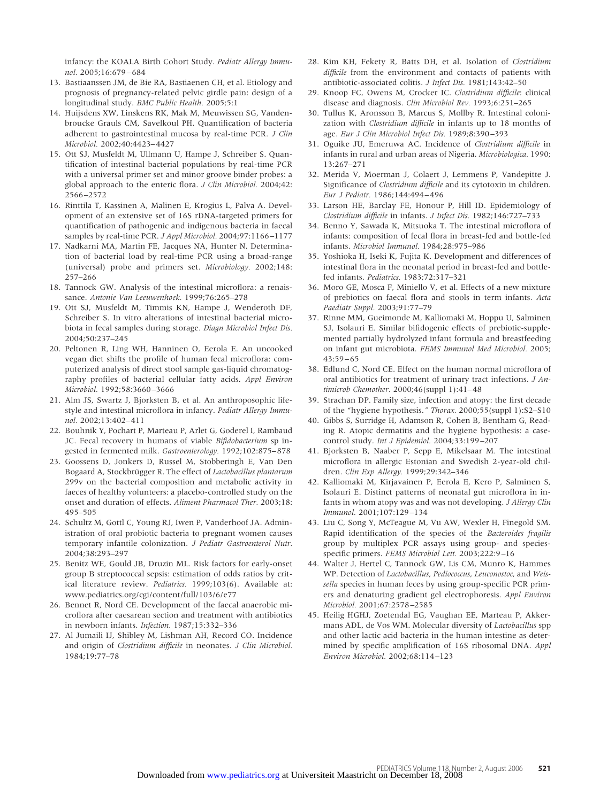infancy: the KOALA Birth Cohort Study. *Pediatr Allergy Immunol.* 2005;16:679 – 684

- 13. Bastiaanssen JM, de Bie RA, Bastiaenen CH, et al. Etiology and prognosis of pregnancy-related pelvic girdle pain: design of a longitudinal study. *BMC Public Health.* 2005;5:1
- 14. Huijsdens XW, Linskens RK, Mak M, Meuwissen SG, Vandenbroucke Grauls CM, Savelkoul PH. Quantification of bacteria adherent to gastrointestinal mucosa by real-time PCR. *J Clin Microbiol.* 2002;40:4423– 4427
- 15. Ott SJ, Musfeldt M, Ullmann U, Hampe J, Schreiber S. Quantification of intestinal bacterial populations by real-time PCR with a universal primer set and minor groove binder probes: a global approach to the enteric flora. *J Clin Microbiol.* 2004;42: 2566 –2572
- 16. Rinttila T, Kassinen A, Malinen E, Krogius L, Palva A. Development of an extensive set of 16S rDNA-targeted primers for quantification of pathogenic and indigenous bacteria in faecal samples by real-time PCR. *J Appl Microbiol.* 2004;97:1166 –1177
- 17. Nadkarni MA, Martin FE, Jacques NA, Hunter N. Determination of bacterial load by real-time PCR using a broad-range (universal) probe and primers set. *Microbiology.* 2002;148: 257–266
- 18. Tannock GW. Analysis of the intestinal microflora: a renaissance. *Antonie Van Leeuwenhoek.* 1999;76:265–278
- 19. Ott SJ, Musfeldt M, Timmis KN, Hampe J, Wenderoth DF, Schreiber S. In vitro alterations of intestinal bacterial microbiota in fecal samples during storage. *Diagn Microbiol Infect Dis.* 2004;50:237–245
- 20. Peltonen R, Ling WH, Hanninen O, Eerola E. An uncooked vegan diet shifts the profile of human fecal microflora: computerized analysis of direct stool sample gas-liquid chromatography profiles of bacterial cellular fatty acids. *Appl Environ Microbiol.* 1992;58:3660 –3666
- 21. Alm JS, Swartz J, Bjorksten B, et al. An anthroposophic lifestyle and intestinal microflora in infancy. *Pediatr Allergy Immunol.* 2002;13:402– 411
- 22. Bouhnik Y, Pochart P, Marteau P, Arlet G, Goderel I, Rambaud JC. Fecal recovery in humans of viable *Bifidobacterium* sp ingested in fermented milk. *Gastroenterology.* 1992;102:875– 878
- 23. Goossens D, Jonkers D, Russel M, Stobberingh E, Van Den Bogaard A, Stockbrügger R. The effect of *Lactobacillus plantarum* 299v on the bacterial composition and metabolic activity in faeces of healthy volunteers: a placebo-controlled study on the onset and duration of effects. *Aliment Pharmacol Ther.* 2003;18: 495–505
- 24. Schultz M, Gottl C, Young RJ, Iwen P, Vanderhoof JA. Administration of oral probiotic bacteria to pregnant women causes temporary infantile colonization. *J Pediatr Gastroenterol Nutr.* 2004;38:293–297
- 25. Benitz WE, Gould JB, Druzin ML. Risk factors for early-onset group B streptococcal sepsis: estimation of odds ratios by critical literature review. *Pediatrics.* 1999;103(6). Available at: www.pediatrics.org/cgi/content/full/103/6/e77
- 26. Bennet R, Nord CE. Development of the faecal anaerobic microflora after caesarean section and treatment with antibiotics in newborn infants. *Infection.* 1987;15:332–336
- 27. Al Jumaili IJ, Shibley M, Lishman AH, Record CO. Incidence and origin of *Clostridium difficile* in neonates. *J Clin Microbiol.* 1984;19:77–78
- 28. Kim KH, Fekety R, Batts DH, et al. Isolation of *Clostridium difficile* from the environment and contacts of patients with antibiotic-associated colitis. *J Infect Dis.* 1981;143:42–50
- 29. Knoop FC, Owens M, Crocker IC. *Clostridium difficile*: clinical disease and diagnosis. *Clin Microbiol Rev.* 1993;6:251–265
- 30. Tullus K, Aronsson B, Marcus S, Mollby R. Intestinal colonization with *Clostridium difficile* in infants up to 18 months of age. *Eur J Clin Microbiol Infect Dis.* 1989;8:390 –393
- 31. Oguike JU, Emeruwa AC. Incidence of *Clostridium difficile* in infants in rural and urban areas of Nigeria. *Microbiologica.* 1990; 13:267–271
- 32. Merida V, Moerman J, Colaert J, Lemmens P, Vandepitte J. Significance of *Clostridium difficile* and its cytotoxin in children. *Eur J Pediatr.* 1986;144:494 – 496
- 33. Larson HE, Barclay FE, Honour P, Hill ID. Epidemiology of *Clostridium difficile* in infants. *J Infect Dis.* 1982;146:727–733
- 34. Benno Y, Sawada K, Mitsuoka T. The intestinal microflora of infants: composition of fecal flora in breast-fed and bottle-fed infants. *Microbiol Immunol.* 1984;28:975–986
- 35. Yoshioka H, Iseki K, Fujita K. Development and differences of intestinal flora in the neonatal period in breast-fed and bottlefed infants. *Pediatrics.* 1983;72:317–321
- 36. Moro GE, Mosca F, Miniello V, et al. Effects of a new mixture of prebiotics on faecal flora and stools in term infants. *Acta Paediatr Suppl.* 2003;91:77–79
- 37. Rinne MM, Gueimonde M, Kalliomaki M, Hoppu U, Salminen SJ, Isolauri E. Similar bifidogenic effects of prebiotic-supplemented partially hydrolyzed infant formula and breastfeeding on infant gut microbiota. *FEMS Immunol Med Microbiol.* 2005;  $43.59 - 65$
- 38. Edlund C, Nord CE. Effect on the human normal microflora of oral antibiotics for treatment of urinary tract infections. *J Antimicrob Chemother.* 2000;46(suppl 1):41– 48
- 39. Strachan DP. Family size, infection and atopy: the first decade of the "hygiene hypothesis.*" Thorax.* 2000;55(suppl 1):S2–S10
- 40. Gibbs S, Surridge H, Adamson R, Cohen B, Bentham G, Reading R. Atopic dermatitis and the hygiene hypothesis: a casecontrol study. *Int J Epidemiol.* 2004;33:199 –207
- 41. Bjorksten B, Naaber P, Sepp E, Mikelsaar M. The intestinal microflora in allergic Estonian and Swedish 2-year-old children. *Clin Exp Allergy.* 1999;29:342–346
- 42. Kalliomaki M, Kirjavainen P, Eerola E, Kero P, Salminen S, Isolauri E. Distinct patterns of neonatal gut microflora in infants in whom atopy was and was not developing. *J Allergy Clin Immunol.* 2001;107:129 –134
- 43. Liu C, Song Y, McTeague M, Vu AW, Wexler H, Finegold SM. Rapid identification of the species of the *Bacteroides fragilis* group by multiplex PCR assays using group- and speciesspecific primers. *FEMS Microbiol Lett.* 2003;222:9 –16
- 44. Walter J, Hertel C, Tannock GW, Lis CM, Munro K, Hammes WP. Detection of *Lactobacillus*, *Pediococcus*, *Leuconostoc*, and *Weissella* species in human feces by using group-specific PCR primers and denaturing gradient gel electrophoresis. *Appl Environ Microbiol.* 2001;67:2578 –2585
- 45. Heilig HGHJ, Zoetendal EG, Vaughan EE, Marteau P, Akkermans ADL, de Vos WM. Molecular diversity of *Lactobacillus* spp and other lactic acid bacteria in the human intestine as determined by specific amplification of 16S ribosomal DNA. *Appl Environ Microbiol.* 2002;68:114 –123